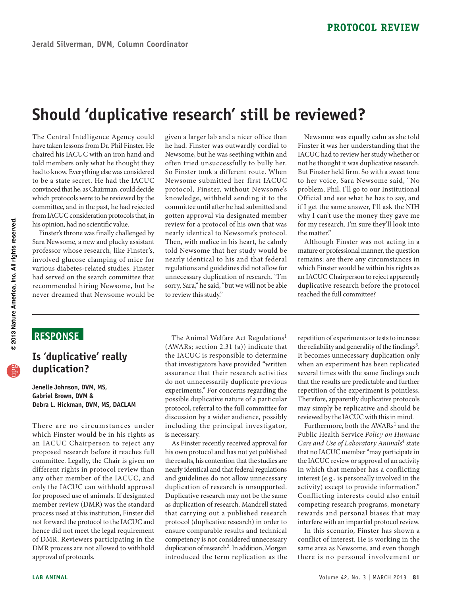# **Should 'duplicative research' still be reviewed?**

 had to know. Everything else was considered The Central Intelligence Agency could have taken lessons from Dr. Phil Finster. He chaired his IACUC with an iron hand and told members only what he thought they to be a state secret. He had the IACUC convinced that he, as Chairman, could decide which protocols were to be reviewed by the committee, and in the past, he had rejected from IACUC consideration protocols that, in his opinion, had no scientific value.

 Sara Newsome, a new and plucky assistant Finster's throne was finally challenged by professor whose research, like Finster's, involved glucose clamping of mice for various diabetes-related studies. Finster had served on the search committee that recommended hiring Newsome, but he never dreamed that Newsome would be

 protocol, Finster, without Newsome's gotten approval via designated member nearly identical to Newsome's protocol. given a larger lab and a nicer office than he had. Finster was outwardly cordial to Newsome, but he was seething within and often tried unsuccessfully to bully her. So Finster took a different route. When Newsome submitted her first IACUC knowledge, withheld sending it to the committee until after he had submitted and review for a protocol of his own that was Then, with malice in his heart, he calmly told Newsome that her study would be nearly identical to his and that federal regulations and guidelines did not allow for unnecessary duplication of research. "I'm sorry, Sara," he said, "but we will not be able to review this study."

Newsome was equally calm as she told Finster it was her understanding that the IACUC had to review her study whether or not he thought it was duplicative research. But Finster held firm. So with a sweet tone to her voice, Sara Newsome said, "No problem, Phil, I'll go to our Institutional Official and see what he has to say, and if I get the same answer, I'll ask the NIH why I can't use the money they gave me for my research. I'm sure they'll look into the matter."

 Although Finster was not acting in a mature or professional manner, the question an IACUC Chairperson to reject apparently remains: are there any circumstances in which Finster would be within his rights as duplicative research before the protocol reached the full committee?

#### **ReSponSe**

#### **Is 'duplicative' really duplication?**

**Jenelle Johnson, DVM, MS, Gabriel Brown, DVM & Debra L. Hickman, DVM, MS, DACLAM** 

 which Finster would be in his rights as for proposed use of animals. If designated There are no circumstances under an IACUC Chairperson to reject any proposed research before it reaches full committee. Legally, the Chair is given no different rights in protocol review than any other member of the IACUC, and only the IACUC can withhold approval member review (DMR) was the standard process used at this institution, Finster did not forward the protocol to the IACUC and hence did not meet the legal requirement of DMR. Reviewers participating in the DMR process are not allowed to withhold approval of protocols.

 that investigators have provided "written discussion by a wider audience, possibly is necessary. The Animal Welfare Act Regulations<sup>1</sup> (AWARs; section 2.31 (a)) indicate that the IACUC is responsible to determine assurance that their research activities do not unnecessarily duplicate previous experiments." For concerns regarding the possible duplicative nature of a particular protocol, referral to the full committee for including the principal investigator,

 As Finster recently received approval for his own protocol and has not yet published nearly identical and that federal regulations as duplication of research. Mandrell stated protocol (duplicative research) in order to competency is not considered unnecessary the results, his contention that the studies are and guidelines do not allow unnecessary duplication of research is unsupported. Duplicative research may not be the same that carrying out a published research ensure comparable results and technical duplication of research<sup>2</sup>. In addition, Morgan introduced the term replication as the

 Therefore, apparently duplicative protocols repetition of experiments or tests to increase the reliability and generality of the findings<sup>3</sup>. It becomes unnecessary duplication only when an experiment has been replicated several times with the same findings such that the results are predictable and further repetition of the experiment is pointless. may simply be replicative and should be reviewed by the IACUC with this in mind.

 the IACUC review or approval of an activity in which that member has a conflicting Furthermore, both the AWARs<sup>1</sup> and the Public Health Service *Policy on Humane Care and Use of Laboratory Animals*4 state that no IACUC member "may participate in interest (e.g., is personally involved in the activity) except to provide information." Conflicting interests could also entail competing research programs, monetary rewards and personal biases that may interfere with an impartial protocol review.

In this scenario, Finster has shown a conflict of interest. He is working in the same area as Newsome, and even though there is no personal involvement or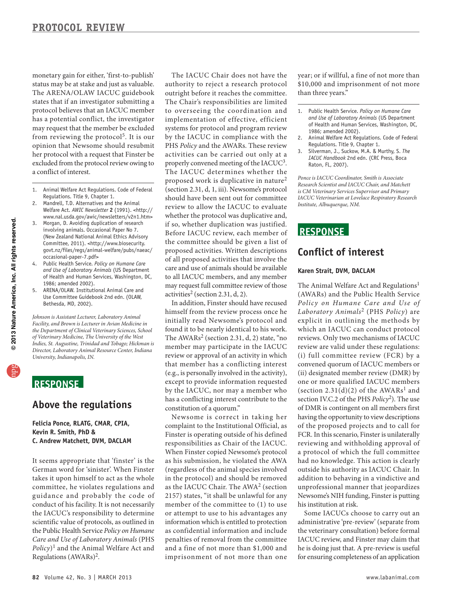may request that the member be excluded monetary gain for either, 'first-to-publish' status may be at stake and just as valuable. The ARENA/OLAW IACUC guidebook states that if an investigator submitting a protocol believes that an IACUC member has a potential conflict, the investigator from reviewing the protocol<sup>5</sup>. It is our opinion that Newsome should resubmit her protocol with a request that Finster be excluded from the protocol review owing to a conflict of interest.

- 1. Animal Welfare Act Regulations. Code of Federal Regulations. Title 9, Chapter 1.
- 2. Mandrell, T.D. Alternatives and the Animal Welfare Act. *AWIC Newsletter* **2** (1991). <[http://](http://www.nal.usda.gov/awic/newsletters/v2n1.htm) [www.nal.usda.gov/awic/newsletters/v2n1.htm](http://www.nal.usda.gov/awic/newsletters/v2n1.htm)>
- 3. Morgan, D. Avoiding duplication of research involving animals. Occasional Paper No 7. (New Zealand National Animal Ethics Advisory Committee, 2011). <http://www.biosecurity. govt.nz/files/regs/animal-welfare/pubs/naeac/ occasional-paper-7.pdf>
- 4. Public Health Service. *Policy on Humane Care and Use of Laboratory Animals* (US Department of Health and Human Services, Washington, DC, 1986; amended 2002).
- 5. ARENA/OLAW. Institutional Animal Care and Use Committee Guidebook 2nd edn. (OLAW, Bethesda, MD, 2002).

*Johnson is Assistant Lecturer, Laboratory Animal Facility, and Brown is Lecturer in Avian Medicine in the Department of Clinical Veterinary Sciences, School of Veterinary Medicine, The University of the West Indies, St. Augustine, Trinidad and Tobago; Hickman is Director, Laboratory Animal Resource Center, Indiana University, Indianapolis, IN.* 

### **ReSponSe**

#### **Above the regulations**

**Felicia ponce, RLATG, CMAR, CpIA, Kevin R. Smith, phD & C. Andrew Matchett, DVM, DACLAM** 

 takes it upon himself to act as the whole It seems appropriate that 'finster' is the German word for 'sinister'. When Finster committee, he violates regulations and guidance and probably the code of conduct of his facility. It is not necessarily the IACUC's responsibility to determine scientific value of protocols, as outlined in the Public Health Service *Policy on Humane Care and Use of Laboratory Animals* (PHS *Policy*)1 and the Animal Welfare Act and Regulations (AWARs)2.

 authority to reject a research protocol outright before it reaches the committee. The Chair's responsibilities are limited properly convened meeting of the IACUC<sup>3</sup>. should have been sent out for committee review to allow the IACUC to evaluate if so, whether duplication was justified. proposed activities. Written descriptions of all proposed activities that involve the The IACUC Chair does not have the to overseeing the coordination and implementation of effective, efficient systems for protocol and program review by the IACUC in compliance with the PHS *Policy* and the AWARs. These review activities can be carried out only at a The IACUC determines whether the proposed work is duplicative in nature<sup>2</sup> (section 2.31, d, 1, iii). Newsome's protocol whether the protocol was duplicative and, Before IACUC review, each member of the committee should be given a list of care and use of animals should be available to all IACUC members, and any member may request full committee review of those activities<sup>2</sup> (section 2.31, d, 2).

In addition, Finster should have recused himself from the review process once he initially read Newsome's protocol and found it to be nearly identical to his work. The AWARs<sup>2</sup> (section 2.31, d, 2) state, "no member may participate in the IACUC review or approval of an activity in which that member has a conflicting interest (e.g., is personally involved in the activity), except to provide information requested by the IACUC, nor may a member who has a conflicting interest contribute to the constitution of a quorum."

 When Finster copied Newsome's protocol as confidential information and include penalties of removal from the committee Newsome is correct in taking her complaint to the Institutional Official, as Finster is operating outside of his defined responsibilities as Chair of the IACUC. as his submission, he violated the AWA (regardless of the animal species involved in the protocol) and should be removed as the IACUC Chair. The AWA2 (section 2157) states, "it shall be unlawful for any member of the committee to (1) to use or attempt to use to his advantages any information which is entitled to protection and a fine of not more than \$1,000 and imprisonment of not more than one

year; or if willful, a fine of not more than \$10,000 and imprisonment of not more than three years."

- 1. Public Health Service. *Policy on Humane Care and Use of Laboratory Animals* (US Department of Health and Human Services, Washington, DC, 1986; amended 2002).
- 2. Animal Welfare Act Regulations. Code of Federal Regulations. Title 9, Chapter 1.
- 3. Silverman, J., Suckow, M.A. & Murthy, S. *The IACUC Handbook* 2nd edn. (CRC Press, Boca Raton, FL, 2007).

*Ponce is IACUC Coordinator, Smith is Associate Research Scientist and IACUC Chair, and Matchett is CM Veterinary Services Supervisor and Primary IACUC Veterinarian at Lovelace Respiratory Research Institute, Albuquerque, NM.* 

#### **ReSponSe**

#### **Conflict of interest**

#### **Karen Strait, DVM, DACLAM**

 explicit in outlining the methods by review are valid under these regulations: convened quorum of IACUC members or having the opportunity to view descriptions FCR. In this scenario, Finster is unilaterally The Animal Welfare Act and Regulations<sup>1</sup> (AWARs) and the Public Health Service *Policy on Humane Care and Use of Laboratory Animals*2 (PHS *Policy*) are which an IACUC can conduct protocol reviews. Only two mechanisms of IACUC (i) full committee review (FCR) by a (ii) designated member review (DMR) by one or more qualified IACUC members (section  $2.31(d)(2)$  of the AWARs<sup>1</sup> and section IV.C.2 of the PHS *Policy*2). The use of DMR is contingent on all members first of the proposed projects and to call for reviewing and withholding approval of a protocol of which the full committee had no knowledge. This action is clearly outside his authority as IACUC Chair. In addition to behaving in a vindictive and unprofessional manner that jeopardizes Newsome's NIH funding, Finster is putting his institution at risk.

 the veterinary consultation) before formal for ensuring completeness of an application Some IACUCs choose to carry out an administrative 'pre-review' (separate from IACUC review, and Finster may claim that he is doing just that. A pre-review is useful